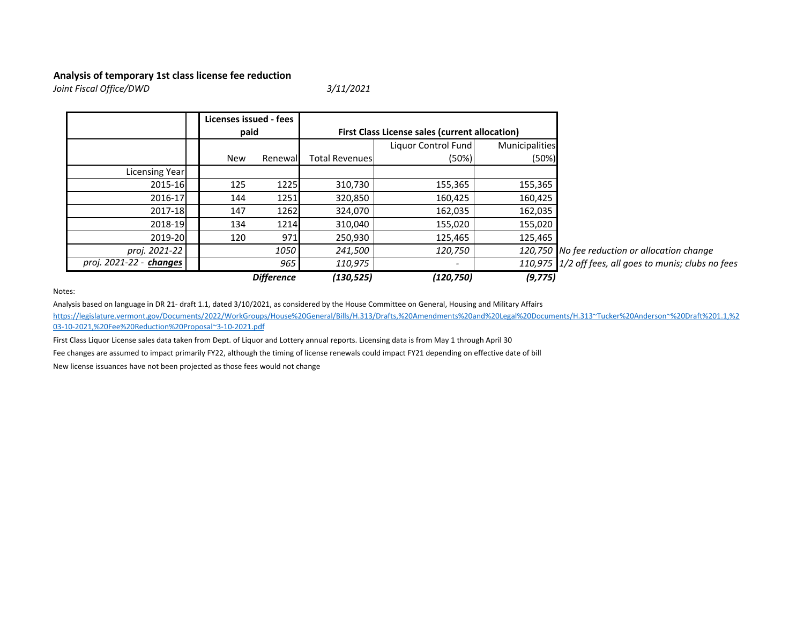## Analysis of temporary 1st class license fee reduction

Joint Fiscal Office/DWD

3/11/2021

|                         |  | Licenses issued - fees<br>paid |          |                                                       |                     |                |                                                        |
|-------------------------|--|--------------------------------|----------|-------------------------------------------------------|---------------------|----------------|--------------------------------------------------------|
|                         |  |                                |          | <b>First Class License sales (current allocation)</b> |                     |                |                                                        |
|                         |  |                                |          |                                                       | Liquor Control Fund | Municipalities |                                                        |
|                         |  | <b>New</b>                     | Renewall | <b>Total Revenues</b>                                 | (50%)               | (50%)          |                                                        |
| Licensing Year          |  |                                |          |                                                       |                     |                |                                                        |
| 2015-16                 |  | 125                            | 1225     | 310,730                                               | 155,365             | 155,365        |                                                        |
| 2016-17                 |  | 144                            | 1251     | 320,850                                               | 160,425             | 160,425        |                                                        |
| 2017-18                 |  | 147                            | 1262     | 324,070                                               | 162,035             | 162,035        |                                                        |
| 2018-19                 |  | 134                            | 1214     | 310,040                                               | 155,020             | 155,020        |                                                        |
| 2019-20                 |  | 120                            | 971      | 250,930                                               | 125,465             | 125,465        |                                                        |
| proj. 2021-22           |  |                                | 1050     | 241,500                                               | 120,750             |                | 120,750 No fee reduction or allocation change          |
| proj. 2021-22 - changes |  |                                | 965      | 110,975                                               |                     |                | 110,975 1/2 off fees, all goes to munis; clubs no fees |
| <b>Difference</b>       |  |                                |          | (130, 525)                                            | (120, 750)          | (9, 775)       |                                                        |

Notes:

Analysis based on language in DR 21- draft 1.1, dated 3/10/2021, as considered by the House Committee on General, Housing and Military Affairs https://legislature.vermont.gov/Documents/2022/WorkGroups/House%20General/Bills/H.313/Drafts,%20Amendments%20and%20Legal%20Documents/H.313~Tucker%20Anderson~%20Draft%201.1,%203-10-2021,%20Fee%20Reduction%20Proposal~3-10-2021.pdf

First Class Liquor License sales data taken from Dept. of Liquor and Lottery annual reports. Licensing data is from May 1 through April 30

Fee changes are assumed to impact primarily FY22, although the timing of license renewals could impact FY21 depending on effective date of bill

New license issuances have not been projected as those fees would not change